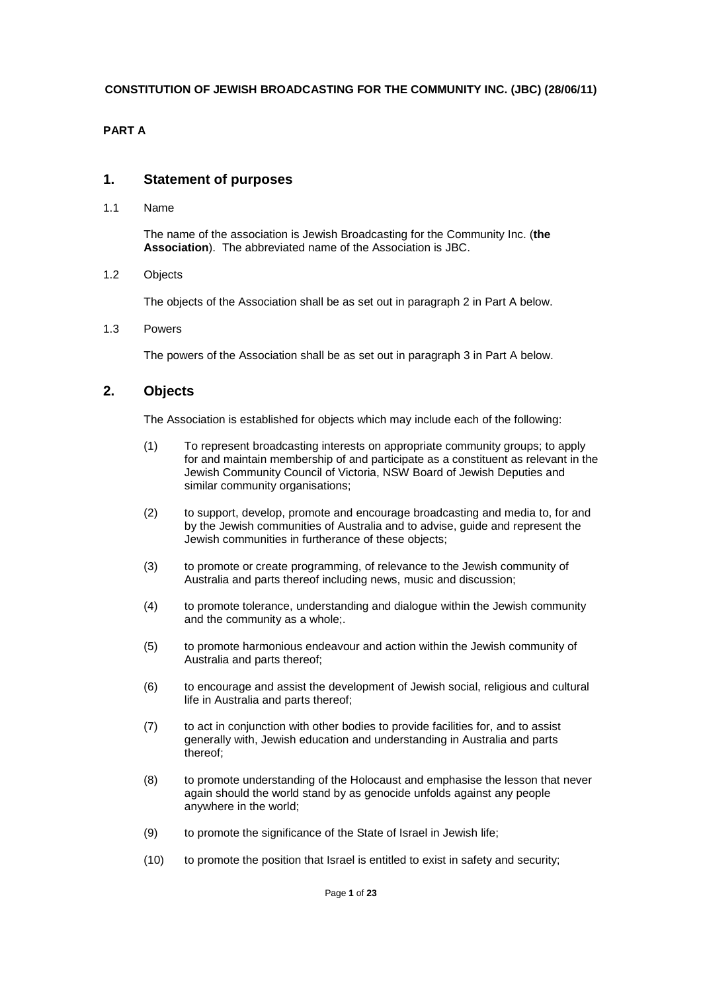### **PART A**

### **1. Statement of purposes**

1.1 Name

The name of the association is Jewish Broadcasting for the Community Inc. (**the Association**). The abbreviated name of the Association is JBC.

#### 1.2 Objects

The objects of the Association shall be as set out in paragraph 2 in Part A below.

1.3 Powers

The powers of the Association shall be as set out in paragraph 3 in Part A below.

## **2. Objects**

The Association is established for objects which may include each of the following:

- (1) To represent broadcasting interests on appropriate community groups; to apply for and maintain membership of and participate as a constituent as relevant in the Jewish Community Council of Victoria, NSW Board of Jewish Deputies and similar community organisations;
- (2) to support, develop, promote and encourage broadcasting and media to, for and by the Jewish communities of Australia and to advise, guide and represent the Jewish communities in furtherance of these objects;
- (3) to promote or create programming, of relevance to the Jewish community of Australia and parts thereof including news, music and discussion;
- (4) to promote tolerance, understanding and dialogue within the Jewish community and the community as a whole;.
- (5) to promote harmonious endeavour and action within the Jewish community of Australia and parts thereof;
- (6) to encourage and assist the development of Jewish social, religious and cultural life in Australia and parts thereof;
- (7) to act in conjunction with other bodies to provide facilities for, and to assist generally with, Jewish education and understanding in Australia and parts thereof;
- (8) to promote understanding of the Holocaust and emphasise the lesson that never again should the world stand by as genocide unfolds against any people anywhere in the world;
- (9) to promote the significance of the State of Israel in Jewish life;
- (10) to promote the position that Israel is entitled to exist in safety and security;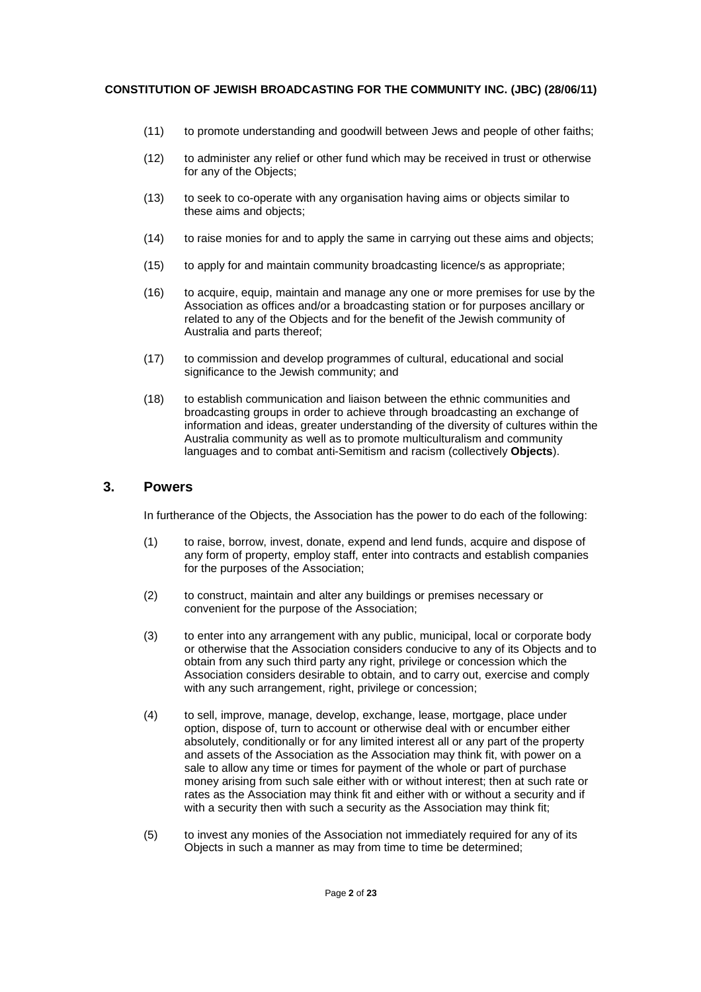- (11) to promote understanding and goodwill between Jews and people of other faiths;
- (12) to administer any relief or other fund which may be received in trust or otherwise for any of the Objects;
- (13) to seek to co-operate with any organisation having aims or objects similar to these aims and objects;
- (14) to raise monies for and to apply the same in carrying out these aims and objects;
- (15) to apply for and maintain community broadcasting licence/s as appropriate;
- (16) to acquire, equip, maintain and manage any one or more premises for use by the Association as offices and/or a broadcasting station or for purposes ancillary or related to any of the Objects and for the benefit of the Jewish community of Australia and parts thereof;
- (17) to commission and develop programmes of cultural, educational and social significance to the Jewish community; and
- (18) to establish communication and liaison between the ethnic communities and broadcasting groups in order to achieve through broadcasting an exchange of information and ideas, greater understanding of the diversity of cultures within the Australia community as well as to promote multiculturalism and community languages and to combat anti-Semitism and racism (collectively **Objects**).

## **3. Powers**

In furtherance of the Objects, the Association has the power to do each of the following:

- (1) to raise, borrow, invest, donate, expend and lend funds, acquire and dispose of any form of property, employ staff, enter into contracts and establish companies for the purposes of the Association;
- (2) to construct, maintain and alter any buildings or premises necessary or convenient for the purpose of the Association;
- (3) to enter into any arrangement with any public, municipal, local or corporate body or otherwise that the Association considers conducive to any of its Objects and to obtain from any such third party any right, privilege or concession which the Association considers desirable to obtain, and to carry out, exercise and comply with any such arrangement, right, privilege or concession;
- (4) to sell, improve, manage, develop, exchange, lease, mortgage, place under option, dispose of, turn to account or otherwise deal with or encumber either absolutely, conditionally or for any limited interest all or any part of the property and assets of the Association as the Association may think fit, with power on a sale to allow any time or times for payment of the whole or part of purchase money arising from such sale either with or without interest; then at such rate or rates as the Association may think fit and either with or without a security and if with a security then with such a security as the Association may think fit;
- (5) to invest any monies of the Association not immediately required for any of its Objects in such a manner as may from time to time be determined;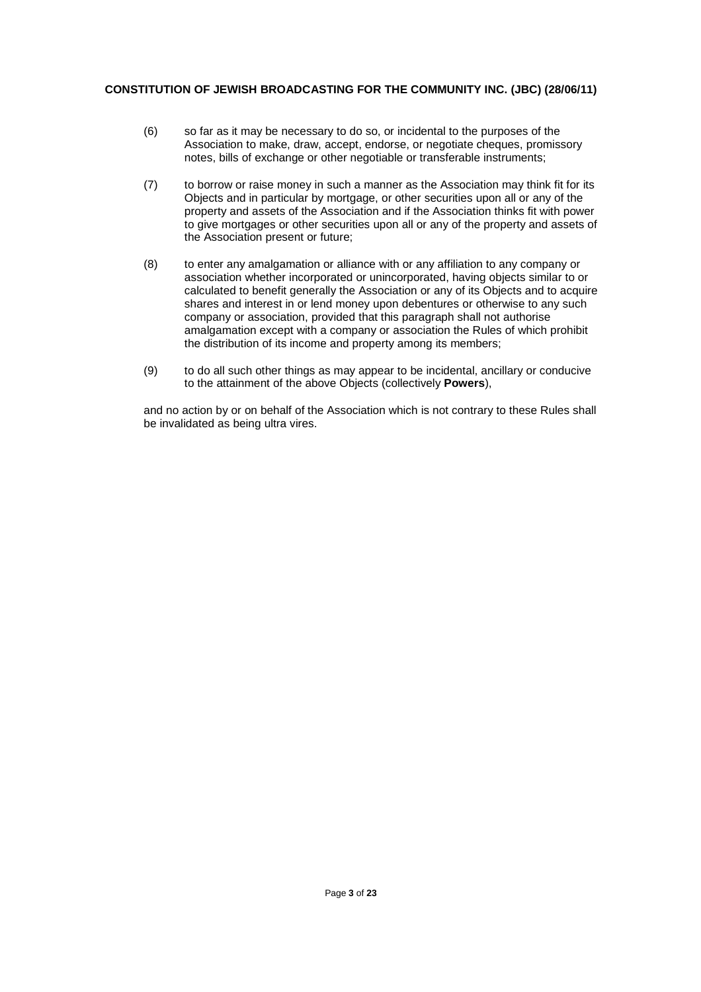- (6) so far as it may be necessary to do so, or incidental to the purposes of the Association to make, draw, accept, endorse, or negotiate cheques, promissory notes, bills of exchange or other negotiable or transferable instruments;
- (7) to borrow or raise money in such a manner as the Association may think fit for its Objects and in particular by mortgage, or other securities upon all or any of the property and assets of the Association and if the Association thinks fit with power to give mortgages or other securities upon all or any of the property and assets of the Association present or future;
- (8) to enter any amalgamation or alliance with or any affiliation to any company or association whether incorporated or unincorporated, having objects similar to or calculated to benefit generally the Association or any of its Objects and to acquire shares and interest in or lend money upon debentures or otherwise to any such company or association, provided that this paragraph shall not authorise amalgamation except with a company or association the Rules of which prohibit the distribution of its income and property among its members;
- (9) to do all such other things as may appear to be incidental, ancillary or conducive to the attainment of the above Objects (collectively **Powers**),

and no action by or on behalf of the Association which is not contrary to these Rules shall be invalidated as being ultra vires.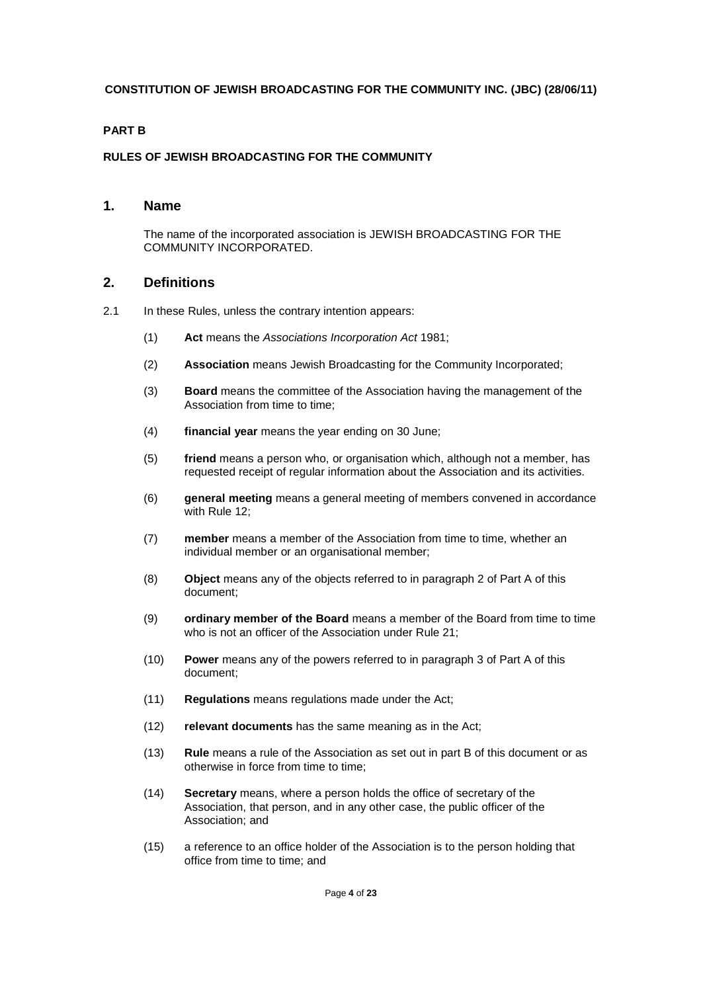#### **PART B**

#### **RULES OF JEWISH BROADCASTING FOR THE COMMUNITY**

### **1. Name**

The name of the incorporated association is JEWISH BROADCASTING FOR THE COMMUNITY INCORPORATED.

### **2. Definitions**

- 2.1 In these Rules, unless the contrary intention appears:
	- (1) **Act** means the Associations Incorporation Act 1981;
	- (2) **Association** means Jewish Broadcasting for the Community Incorporated;
	- (3) **Board** means the committee of the Association having the management of the Association from time to time;
	- (4) **financial year** means the year ending on 30 June;
	- (5) **friend** means a person who, or organisation which, although not a member, has requested receipt of regular information about the Association and its activities.
	- (6) **general meeting** means a general meeting of members convened in accordance with Rule 12;
	- (7) **member** means a member of the Association from time to time, whether an individual member or an organisational member;
	- (8) **Object** means any of the objects referred to in paragraph 2 of Part A of this document;
	- (9) **ordinary member of the Board** means a member of the Board from time to time who is not an officer of the Association under Rule 21:
	- (10) **Power** means any of the powers referred to in paragraph 3 of Part A of this document;
	- (11) **Regulations** means regulations made under the Act;
	- (12) **relevant documents** has the same meaning as in the Act;
	- (13) **Rule** means a rule of the Association as set out in part B of this document or as otherwise in force from time to time;
	- (14) **Secretary** means, where a person holds the office of secretary of the Association, that person, and in any other case, the public officer of the Association; and
	- (15) a reference to an office holder of the Association is to the person holding that office from time to time; and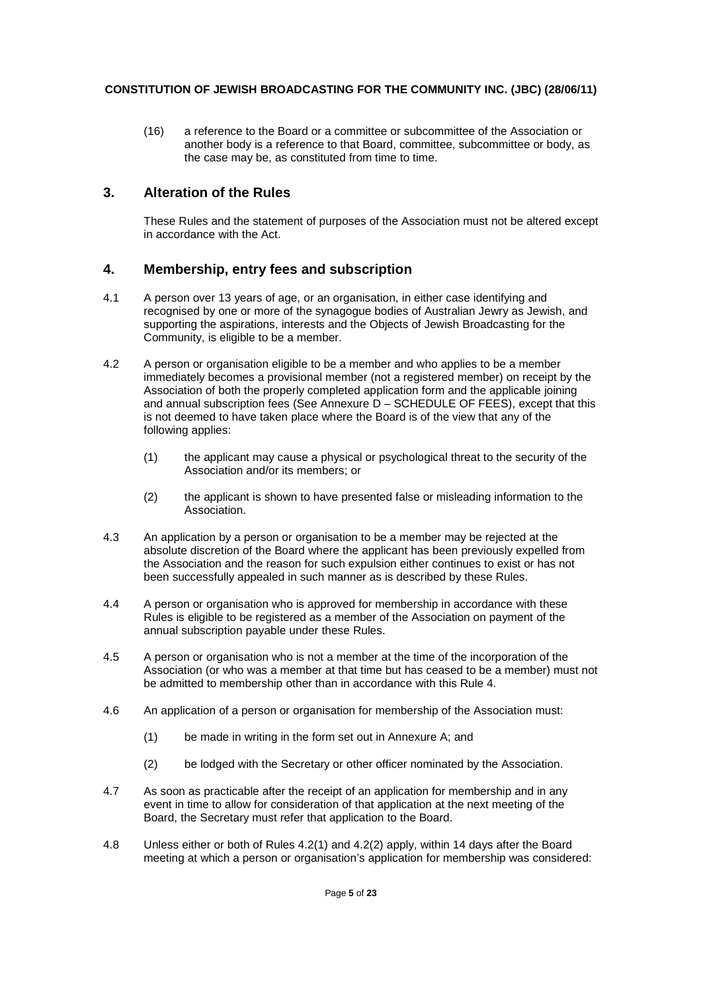(16) a reference to the Board or a committee or subcommittee of the Association or another body is a reference to that Board, committee, subcommittee or body, as the case may be, as constituted from time to time.

## **3. Alteration of the Rules**

These Rules and the statement of purposes of the Association must not be altered except in accordance with the Act.

## **4. Membership, entry fees and subscription**

- 4.1 A person over 13 years of age, or an organisation, in either case identifying and recognised by one or more of the synagogue bodies of Australian Jewry as Jewish, and supporting the aspirations, interests and the Objects of Jewish Broadcasting for the Community, is eligible to be a member.
- 4.2 A person or organisation eligible to be a member and who applies to be a member immediately becomes a provisional member (not a registered member) on receipt by the Association of both the properly completed application form and the applicable joining and annual subscription fees (See Annexure D – SCHEDULE OF FEES), except that this is not deemed to have taken place where the Board is of the view that any of the following applies:
	- (1) the applicant may cause a physical or psychological threat to the security of the Association and/or its members; or
	- (2) the applicant is shown to have presented false or misleading information to the Association.
- 4.3 An application by a person or organisation to be a member may be rejected at the absolute discretion of the Board where the applicant has been previously expelled from the Association and the reason for such expulsion either continues to exist or has not been successfully appealed in such manner as is described by these Rules.
- 4.4 A person or organisation who is approved for membership in accordance with these Rules is eligible to be registered as a member of the Association on payment of the annual subscription payable under these Rules.
- 4.5 A person or organisation who is not a member at the time of the incorporation of the Association (or who was a member at that time but has ceased to be a member) must not be admitted to membership other than in accordance with this Rule 4.
- 4.6 An application of a person or organisation for membership of the Association must:
	- (1) be made in writing in the form set out in Annexure A; and
	- (2) be lodged with the Secretary or other officer nominated by the Association.
- 4.7 As soon as practicable after the receipt of an application for membership and in any event in time to allow for consideration of that application at the next meeting of the Board, the Secretary must refer that application to the Board.
- 4.8 Unless either or both of Rules 4.2(1) and 4.2(2) apply, within 14 days after the Board meeting at which a person or organisation's application for membership was considered: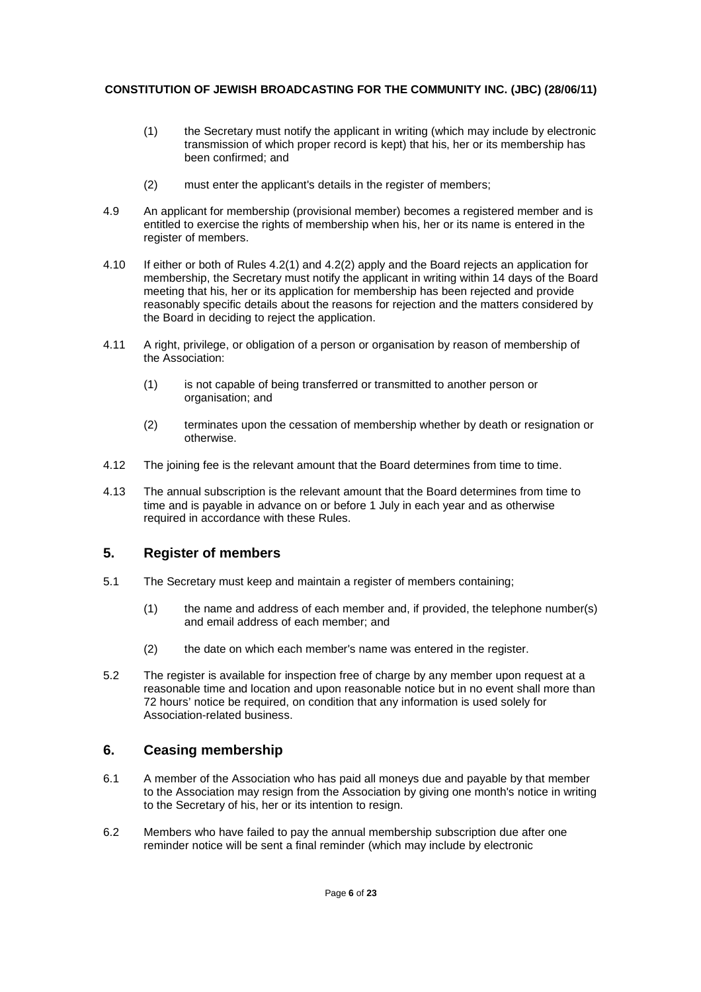- (1) the Secretary must notify the applicant in writing (which may include by electronic transmission of which proper record is kept) that his, her or its membership has been confirmed; and
- (2) must enter the applicant's details in the register of members;
- 4.9 An applicant for membership (provisional member) becomes a registered member and is entitled to exercise the rights of membership when his, her or its name is entered in the register of members.
- 4.10 If either or both of Rules 4.2(1) and 4.2(2) apply and the Board rejects an application for membership, the Secretary must notify the applicant in writing within 14 days of the Board meeting that his, her or its application for membership has been rejected and provide reasonably specific details about the reasons for rejection and the matters considered by the Board in deciding to reject the application.
- 4.11 A right, privilege, or obligation of a person or organisation by reason of membership of the Association:
	- (1) is not capable of being transferred or transmitted to another person or organisation; and
	- (2) terminates upon the cessation of membership whether by death or resignation or otherwise.
- 4.12 The joining fee is the relevant amount that the Board determines from time to time.
- 4.13 The annual subscription is the relevant amount that the Board determines from time to time and is payable in advance on or before 1 July in each year and as otherwise required in accordance with these Rules.

## **5. Register of members**

- 5.1 The Secretary must keep and maintain a register of members containing;
	- (1) the name and address of each member and, if provided, the telephone number(s) and email address of each member; and
	- (2) the date on which each member's name was entered in the register.
- 5.2 The register is available for inspection free of charge by any member upon request at a reasonable time and location and upon reasonable notice but in no event shall more than 72 hours' notice be required, on condition that any information is used solely for Association-related business.

## **6. Ceasing membership**

- 6.1 A member of the Association who has paid all moneys due and payable by that member to the Association may resign from the Association by giving one month's notice in writing to the Secretary of his, her or its intention to resign.
- 6.2 Members who have failed to pay the annual membership subscription due after one reminder notice will be sent a final reminder (which may include by electronic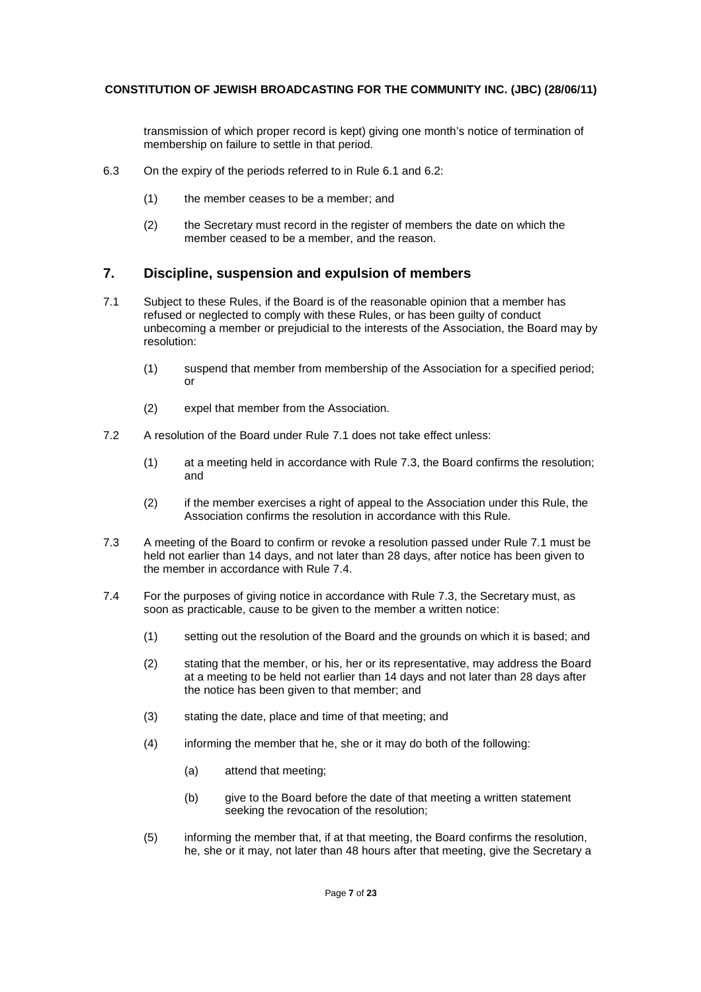transmission of which proper record is kept) giving one month's notice of termination of membership on failure to settle in that period.

- 6.3 On the expiry of the periods referred to in Rule 6.1 and 6.2:
	- (1) the member ceases to be a member; and
	- (2) the Secretary must record in the register of members the date on which the member ceased to be a member, and the reason.

## **7. Discipline, suspension and expulsion of members**

- 7.1 Subject to these Rules, if the Board is of the reasonable opinion that a member has refused or neglected to comply with these Rules, or has been guilty of conduct unbecoming a member or prejudicial to the interests of the Association, the Board may by resolution:
	- (1) suspend that member from membership of the Association for a specified period; or
	- (2) expel that member from the Association.
- 7.2 A resolution of the Board under Rule 7.1 does not take effect unless:
	- (1) at a meeting held in accordance with Rule 7.3, the Board confirms the resolution; and
	- (2) if the member exercises a right of appeal to the Association under this Rule, the Association confirms the resolution in accordance with this Rule.
- 7.3 A meeting of the Board to confirm or revoke a resolution passed under Rule 7.1 must be held not earlier than 14 days, and not later than 28 days, after notice has been given to the member in accordance with Rule 7.4.
- 7.4 For the purposes of giving notice in accordance with Rule 7.3, the Secretary must, as soon as practicable, cause to be given to the member a written notice:
	- (1) setting out the resolution of the Board and the grounds on which it is based; and
	- (2) stating that the member, or his, her or its representative, may address the Board at a meeting to be held not earlier than 14 days and not later than 28 days after the notice has been given to that member; and
	- (3) stating the date, place and time of that meeting; and
	- (4) informing the member that he, she or it may do both of the following:
		- (a) attend that meeting;
		- (b) give to the Board before the date of that meeting a written statement seeking the revocation of the resolution:
	- (5) informing the member that, if at that meeting, the Board confirms the resolution, he, she or it may, not later than 48 hours after that meeting, give the Secretary a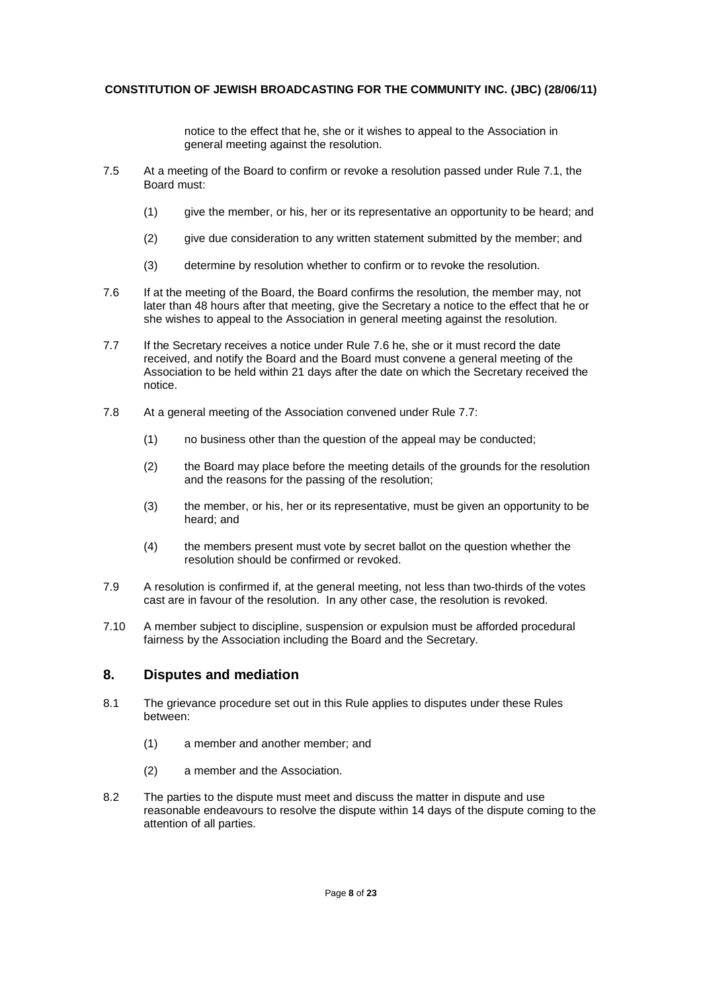notice to the effect that he, she or it wishes to appeal to the Association in general meeting against the resolution.

- 7.5 At a meeting of the Board to confirm or revoke a resolution passed under Rule 7.1, the Board must:
	- (1) give the member, or his, her or its representative an opportunity to be heard; and
	- (2) give due consideration to any written statement submitted by the member; and
	- (3) determine by resolution whether to confirm or to revoke the resolution.
- 7.6 If at the meeting of the Board, the Board confirms the resolution, the member may, not later than 48 hours after that meeting, give the Secretary a notice to the effect that he or she wishes to appeal to the Association in general meeting against the resolution.
- 7.7 If the Secretary receives a notice under Rule 7.6 he, she or it must record the date received, and notify the Board and the Board must convene a general meeting of the Association to be held within 21 days after the date on which the Secretary received the notice.
- 7.8 At a general meeting of the Association convened under Rule 7.7:
	- (1) no business other than the question of the appeal may be conducted;
	- (2) the Board may place before the meeting details of the grounds for the resolution and the reasons for the passing of the resolution;
	- (3) the member, or his, her or its representative, must be given an opportunity to be heard; and
	- (4) the members present must vote by secret ballot on the question whether the resolution should be confirmed or revoked.
- 7.9 A resolution is confirmed if, at the general meeting, not less than two-thirds of the votes cast are in favour of the resolution. In any other case, the resolution is revoked.
- 7.10 A member subject to discipline, suspension or expulsion must be afforded procedural fairness by the Association including the Board and the Secretary.

## **8. Disputes and mediation**

- 8.1 The grievance procedure set out in this Rule applies to disputes under these Rules between:
	- (1) a member and another member; and
	- (2) a member and the Association.
- 8.2 The parties to the dispute must meet and discuss the matter in dispute and use reasonable endeavours to resolve the dispute within 14 days of the dispute coming to the attention of all parties.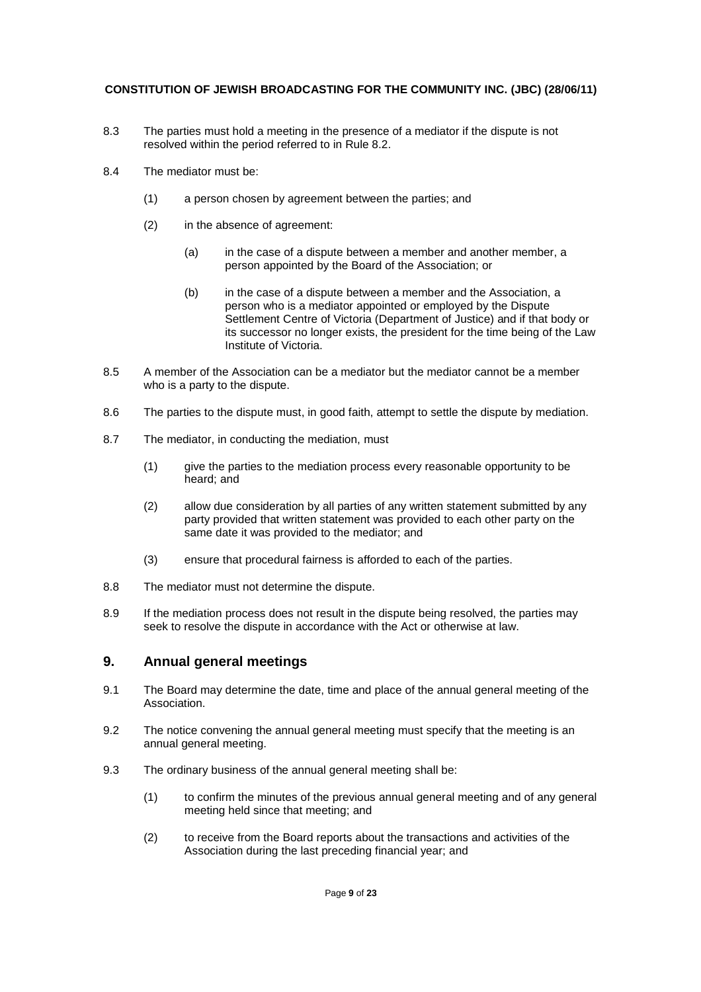- 8.3 The parties must hold a meeting in the presence of a mediator if the dispute is not resolved within the period referred to in Rule 8.2.
- 8.4 The mediator must be:
	- (1) a person chosen by agreement between the parties; and
	- (2) in the absence of agreement:
		- (a) in the case of a dispute between a member and another member, a person appointed by the Board of the Association; or
		- (b) in the case of a dispute between a member and the Association, a person who is a mediator appointed or employed by the Dispute Settlement Centre of Victoria (Department of Justice) and if that body or its successor no longer exists, the president for the time being of the Law Institute of Victoria.
- 8.5 A member of the Association can be a mediator but the mediator cannot be a member who is a party to the dispute.
- 8.6 The parties to the dispute must, in good faith, attempt to settle the dispute by mediation.
- 8.7 The mediator, in conducting the mediation, must
	- (1) give the parties to the mediation process every reasonable opportunity to be heard; and
	- (2) allow due consideration by all parties of any written statement submitted by any party provided that written statement was provided to each other party on the same date it was provided to the mediator; and
	- (3) ensure that procedural fairness is afforded to each of the parties.
- 8.8 The mediator must not determine the dispute.
- 8.9 If the mediation process does not result in the dispute being resolved, the parties may seek to resolve the dispute in accordance with the Act or otherwise at law.

## **9. Annual general meetings**

- 9.1 The Board may determine the date, time and place of the annual general meeting of the Association.
- 9.2 The notice convening the annual general meeting must specify that the meeting is an annual general meeting.
- 9.3 The ordinary business of the annual general meeting shall be:
	- (1) to confirm the minutes of the previous annual general meeting and of any general meeting held since that meeting; and
	- (2) to receive from the Board reports about the transactions and activities of the Association during the last preceding financial year; and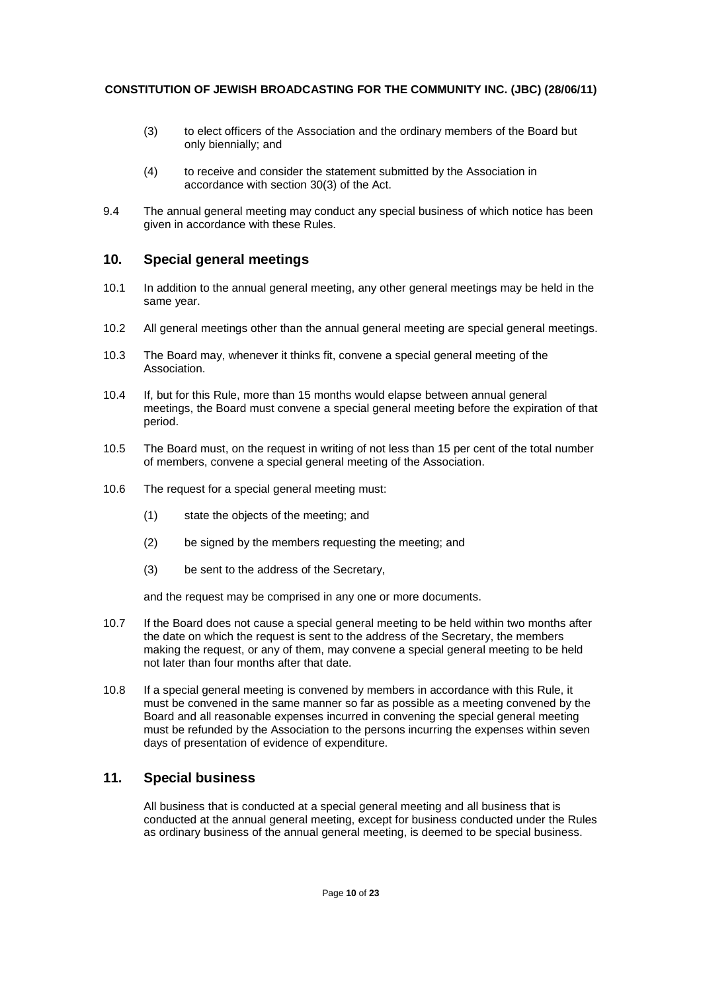- (3) to elect officers of the Association and the ordinary members of the Board but only biennially; and
- (4) to receive and consider the statement submitted by the Association in accordance with section 30(3) of the Act.
- 9.4 The annual general meeting may conduct any special business of which notice has been given in accordance with these Rules.

## **10. Special general meetings**

- 10.1 In addition to the annual general meeting, any other general meetings may be held in the same year.
- 10.2 All general meetings other than the annual general meeting are special general meetings.
- 10.3 The Board may, whenever it thinks fit, convene a special general meeting of the Association.
- 10.4 If, but for this Rule, more than 15 months would elapse between annual general meetings, the Board must convene a special general meeting before the expiration of that period.
- 10.5 The Board must, on the request in writing of not less than 15 per cent of the total number of members, convene a special general meeting of the Association.
- 10.6 The request for a special general meeting must:
	- (1) state the objects of the meeting; and
	- (2) be signed by the members requesting the meeting; and
	- (3) be sent to the address of the Secretary,

and the request may be comprised in any one or more documents.

- 10.7 If the Board does not cause a special general meeting to be held within two months after the date on which the request is sent to the address of the Secretary, the members making the request, or any of them, may convene a special general meeting to be held not later than four months after that date.
- 10.8 If a special general meeting is convened by members in accordance with this Rule, it must be convened in the same manner so far as possible as a meeting convened by the Board and all reasonable expenses incurred in convening the special general meeting must be refunded by the Association to the persons incurring the expenses within seven days of presentation of evidence of expenditure.

## **11. Special business**

All business that is conducted at a special general meeting and all business that is conducted at the annual general meeting, except for business conducted under the Rules as ordinary business of the annual general meeting, is deemed to be special business.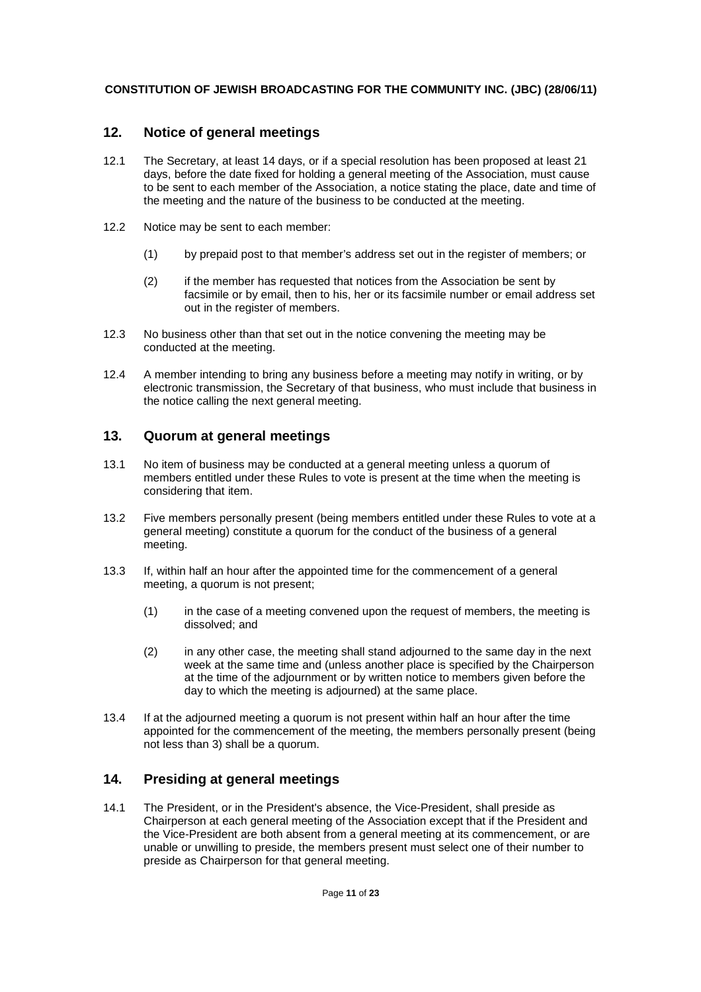## **12. Notice of general meetings**

- 12.1 The Secretary, at least 14 days, or if a special resolution has been proposed at least 21 days, before the date fixed for holding a general meeting of the Association, must cause to be sent to each member of the Association, a notice stating the place, date and time of the meeting and the nature of the business to be conducted at the meeting.
- 12.2 Notice may be sent to each member:
	- (1) by prepaid post to that member's address set out in the register of members; or
	- (2) if the member has requested that notices from the Association be sent by facsimile or by email, then to his, her or its facsimile number or email address set out in the register of members.
- 12.3 No business other than that set out in the notice convening the meeting may be conducted at the meeting.
- 12.4 A member intending to bring any business before a meeting may notify in writing, or by electronic transmission, the Secretary of that business, who must include that business in the notice calling the next general meeting.

## **13. Quorum at general meetings**

- 13.1 No item of business may be conducted at a general meeting unless a quorum of members entitled under these Rules to vote is present at the time when the meeting is considering that item.
- 13.2 Five members personally present (being members entitled under these Rules to vote at a general meeting) constitute a quorum for the conduct of the business of a general meeting.
- 13.3 If, within half an hour after the appointed time for the commencement of a general meeting, a quorum is not present;
	- (1) in the case of a meeting convened upon the request of members, the meeting is dissolved; and
	- (2) in any other case, the meeting shall stand adjourned to the same day in the next week at the same time and (unless another place is specified by the Chairperson at the time of the adjournment or by written notice to members given before the day to which the meeting is adjourned) at the same place.
- 13.4 If at the adjourned meeting a quorum is not present within half an hour after the time appointed for the commencement of the meeting, the members personally present (being not less than 3) shall be a quorum.

# **14. Presiding at general meetings**

14.1 The President, or in the President's absence, the Vice-President, shall preside as Chairperson at each general meeting of the Association except that if the President and the Vice-President are both absent from a general meeting at its commencement, or are unable or unwilling to preside, the members present must select one of their number to preside as Chairperson for that general meeting.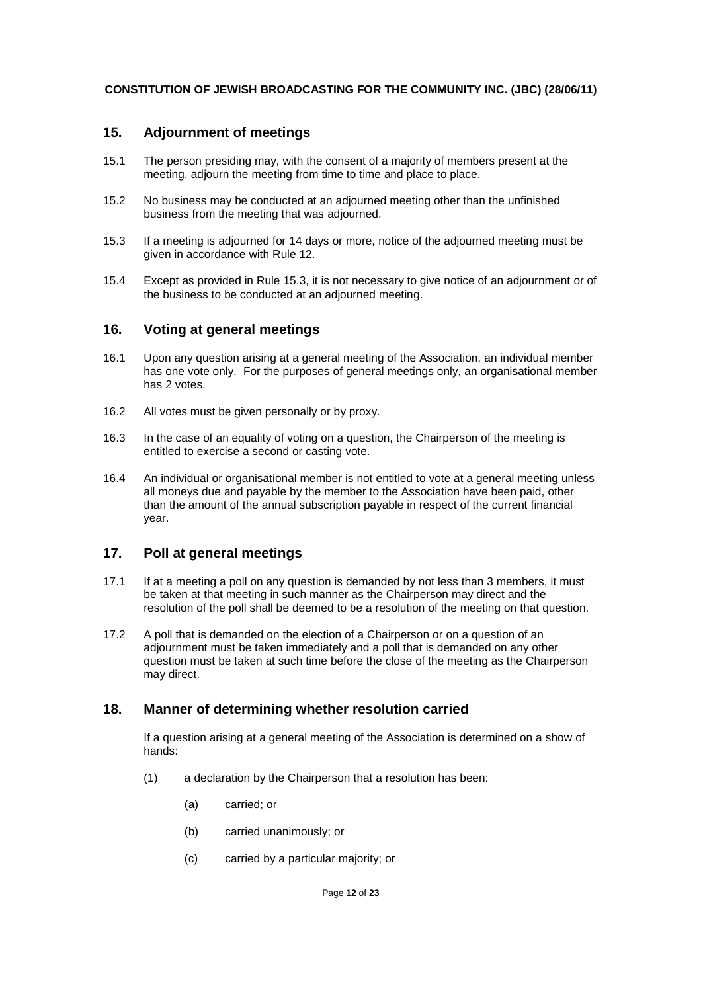## **15. Adjournment of meetings**

- 15.1 The person presiding may, with the consent of a majority of members present at the meeting, adjourn the meeting from time to time and place to place.
- 15.2 No business may be conducted at an adjourned meeting other than the unfinished business from the meeting that was adjourned.
- 15.3 If a meeting is adjourned for 14 days or more, notice of the adjourned meeting must be given in accordance with Rule 12.
- 15.4 Except as provided in Rule 15.3, it is not necessary to give notice of an adjournment or of the business to be conducted at an adjourned meeting.

## **16. Voting at general meetings**

- 16.1 Upon any question arising at a general meeting of the Association, an individual member has one vote only. For the purposes of general meetings only, an organisational member has 2 votes.
- 16.2 All votes must be given personally or by proxy.
- 16.3 In the case of an equality of voting on a question, the Chairperson of the meeting is entitled to exercise a second or casting vote.
- 16.4 An individual or organisational member is not entitled to vote at a general meeting unless all moneys due and payable by the member to the Association have been paid, other than the amount of the annual subscription payable in respect of the current financial year.

## **17. Poll at general meetings**

- 17.1 If at a meeting a poll on any question is demanded by not less than 3 members, it must be taken at that meeting in such manner as the Chairperson may direct and the resolution of the poll shall be deemed to be a resolution of the meeting on that question.
- 17.2 A poll that is demanded on the election of a Chairperson or on a question of an adjournment must be taken immediately and a poll that is demanded on any other question must be taken at such time before the close of the meeting as the Chairperson may direct.

## **18. Manner of determining whether resolution carried**

If a question arising at a general meeting of the Association is determined on a show of hands:

- (1) a declaration by the Chairperson that a resolution has been:
	- (a) carried; or
	- (b) carried unanimously; or
	- (c) carried by a particular majority; or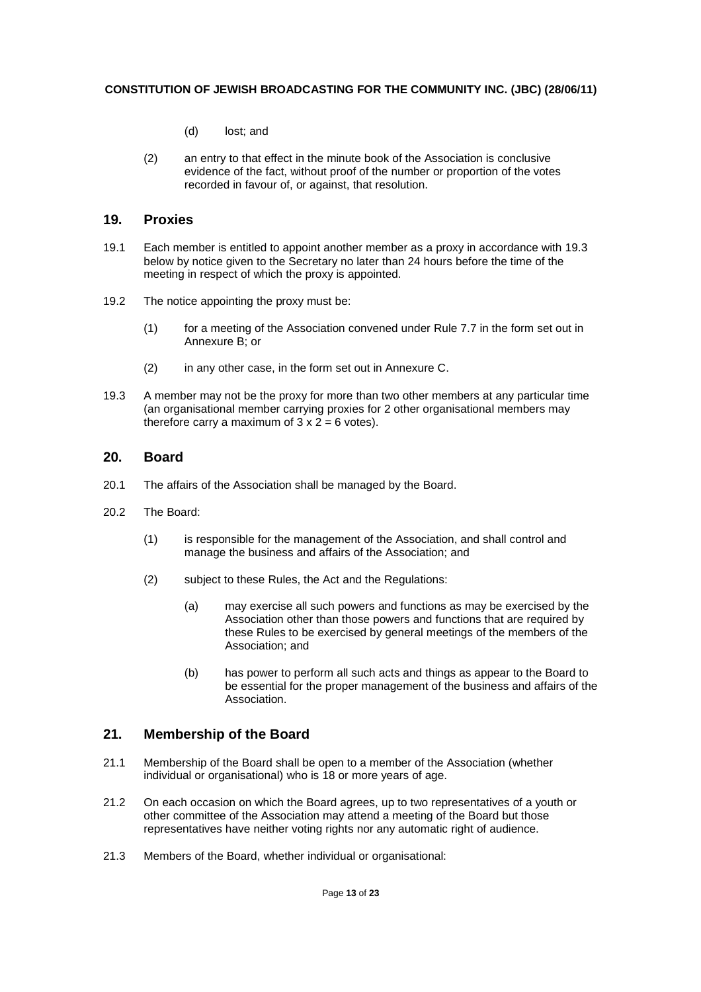- (d) lost; and
- (2) an entry to that effect in the minute book of the Association is conclusive evidence of the fact, without proof of the number or proportion of the votes recorded in favour of, or against, that resolution.

### **19. Proxies**

- 19.1 Each member is entitled to appoint another member as a proxy in accordance with 19.3 below by notice given to the Secretary no later than 24 hours before the time of the meeting in respect of which the proxy is appointed.
- 19.2 The notice appointing the proxy must be:
	- (1) for a meeting of the Association convened under Rule 7.7 in the form set out in Annexure B; or
	- (2) in any other case, in the form set out in Annexure C.
- 19.3 A member may not be the proxy for more than two other members at any particular time (an organisational member carrying proxies for 2 other organisational members may therefore carry a maximum of  $3 \times 2 = 6$  votes).

## **20. Board**

- 20.1 The affairs of the Association shall be managed by the Board.
- 20.2 The Board:
	- (1) is responsible for the management of the Association, and shall control and manage the business and affairs of the Association; and
	- (2) subject to these Rules, the Act and the Regulations:
		- (a) may exercise all such powers and functions as may be exercised by the Association other than those powers and functions that are required by these Rules to be exercised by general meetings of the members of the Association; and
		- (b) has power to perform all such acts and things as appear to the Board to be essential for the proper management of the business and affairs of the **Association**

## **21. Membership of the Board**

- 21.1 Membership of the Board shall be open to a member of the Association (whether individual or organisational) who is 18 or more years of age.
- 21.2 On each occasion on which the Board agrees, up to two representatives of a youth or other committee of the Association may attend a meeting of the Board but those representatives have neither voting rights nor any automatic right of audience.
- 21.3 Members of the Board, whether individual or organisational: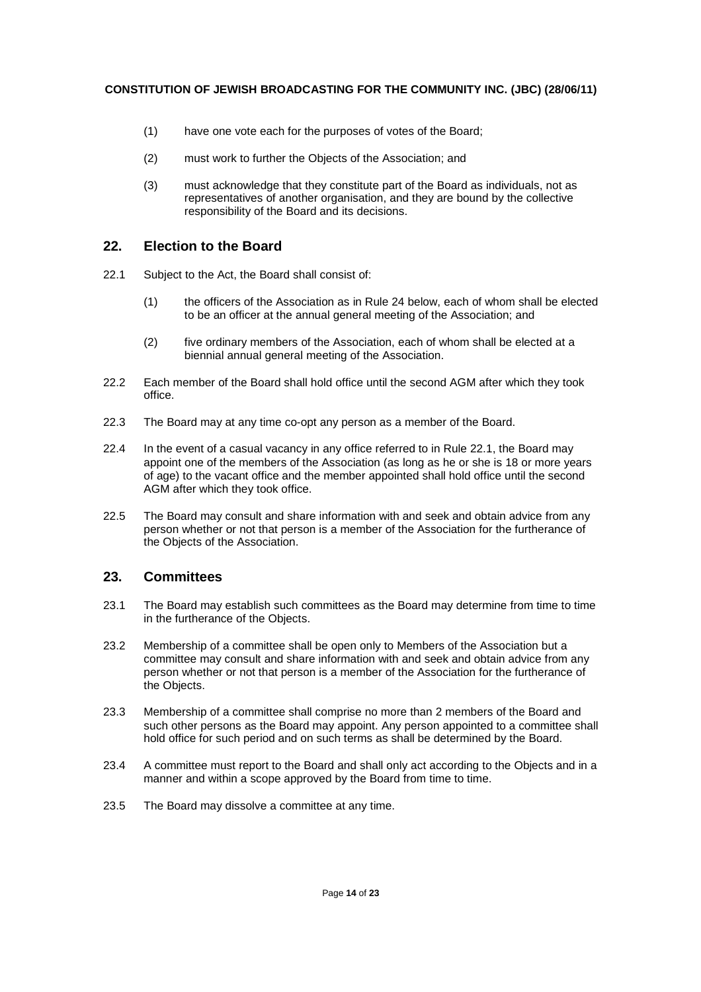- (1) have one vote each for the purposes of votes of the Board;
- (2) must work to further the Objects of the Association; and
- (3) must acknowledge that they constitute part of the Board as individuals, not as representatives of another organisation, and they are bound by the collective responsibility of the Board and its decisions.

## **22. Election to the Board**

- 22.1 Subject to the Act, the Board shall consist of:
	- (1) the officers of the Association as in Rule 24 below, each of whom shall be elected to be an officer at the annual general meeting of the Association; and
	- (2) five ordinary members of the Association, each of whom shall be elected at a biennial annual general meeting of the Association.
- 22.2 Each member of the Board shall hold office until the second AGM after which they took office.
- 22.3 The Board may at any time co-opt any person as a member of the Board.
- 22.4 In the event of a casual vacancy in any office referred to in Rule 22.1, the Board may appoint one of the members of the Association (as long as he or she is 18 or more years of age) to the vacant office and the member appointed shall hold office until the second AGM after which they took office.
- 22.5 The Board may consult and share information with and seek and obtain advice from any person whether or not that person is a member of the Association for the furtherance of the Objects of the Association.

# **23. Committees**

- 23.1 The Board may establish such committees as the Board may determine from time to time in the furtherance of the Objects.
- 23.2 Membership of a committee shall be open only to Members of the Association but a committee may consult and share information with and seek and obtain advice from any person whether or not that person is a member of the Association for the furtherance of the Objects.
- 23.3 Membership of a committee shall comprise no more than 2 members of the Board and such other persons as the Board may appoint. Any person appointed to a committee shall hold office for such period and on such terms as shall be determined by the Board.
- 23.4 A committee must report to the Board and shall only act according to the Objects and in a manner and within a scope approved by the Board from time to time.
- 23.5 The Board may dissolve a committee at any time.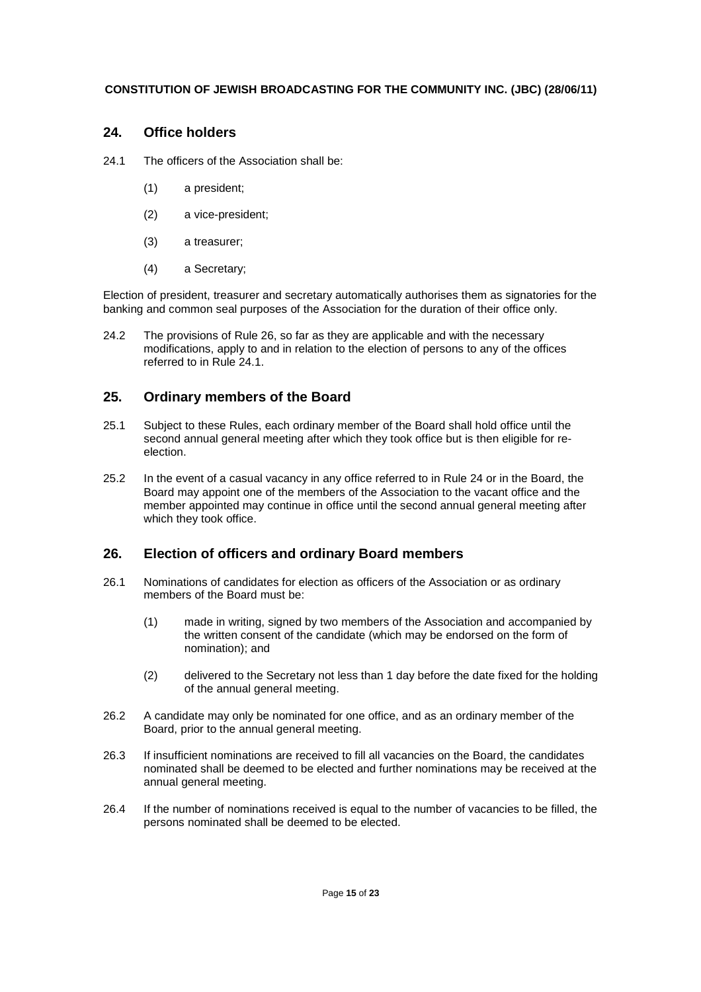## **24. Office holders**

24.1 The officers of the Association shall be:

- (1) a president;
- (2) a vice-president;
- (3) a treasurer;
- (4) a Secretary;

Election of president, treasurer and secretary automatically authorises them as signatories for the banking and common seal purposes of the Association for the duration of their office only.

24.2 The provisions of Rule 26, so far as they are applicable and with the necessary modifications, apply to and in relation to the election of persons to any of the offices referred to in Rule 24.1.

## **25. Ordinary members of the Board**

- 25.1 Subject to these Rules, each ordinary member of the Board shall hold office until the second annual general meeting after which they took office but is then eligible for reelection.
- 25.2 In the event of a casual vacancy in any office referred to in Rule 24 or in the Board, the Board may appoint one of the members of the Association to the vacant office and the member appointed may continue in office until the second annual general meeting after which they took office.

## **26. Election of officers and ordinary Board members**

- 26.1 Nominations of candidates for election as officers of the Association or as ordinary members of the Board must be:
	- (1) made in writing, signed by two members of the Association and accompanied by the written consent of the candidate (which may be endorsed on the form of nomination); and
	- (2) delivered to the Secretary not less than 1 day before the date fixed for the holding of the annual general meeting.
- 26.2 A candidate may only be nominated for one office, and as an ordinary member of the Board, prior to the annual general meeting.
- 26.3 If insufficient nominations are received to fill all vacancies on the Board, the candidates nominated shall be deemed to be elected and further nominations may be received at the annual general meeting.
- 26.4 If the number of nominations received is equal to the number of vacancies to be filled, the persons nominated shall be deemed to be elected.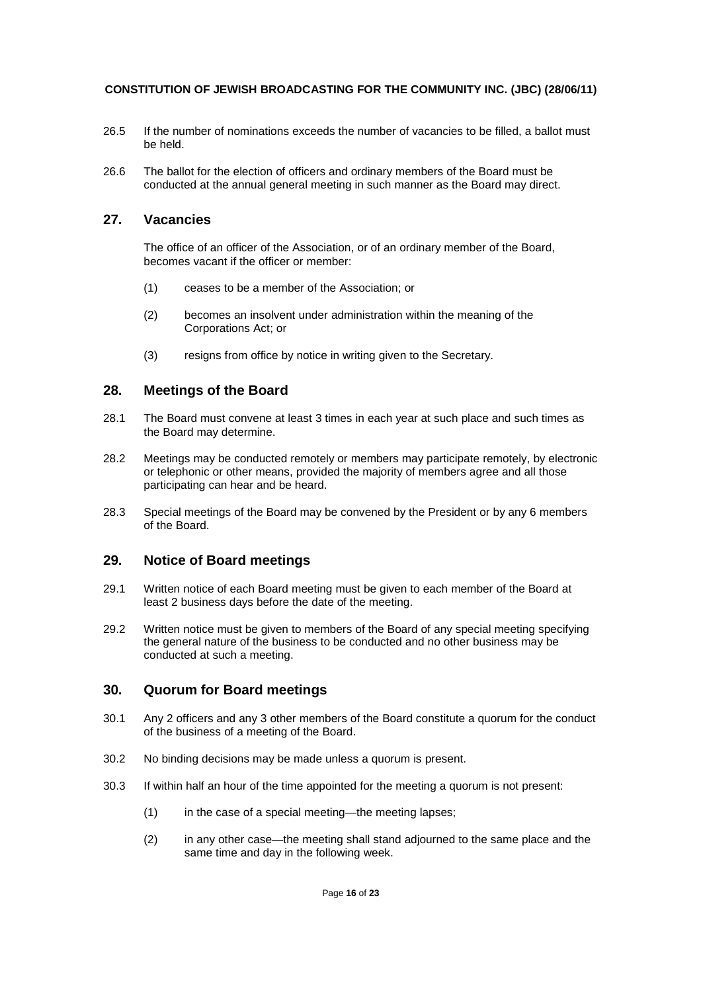- 26.5 If the number of nominations exceeds the number of vacancies to be filled, a ballot must be held.
- 26.6 The ballot for the election of officers and ordinary members of the Board must be conducted at the annual general meeting in such manner as the Board may direct.

## **27. Vacancies**

The office of an officer of the Association, or of an ordinary member of the Board, becomes vacant if the officer or member:

- (1) ceases to be a member of the Association; or
- (2) becomes an insolvent under administration within the meaning of the Corporations Act; or
- (3) resigns from office by notice in writing given to the Secretary.

## **28. Meetings of the Board**

- 28.1 The Board must convene at least 3 times in each year at such place and such times as the Board may determine.
- 28.2 Meetings may be conducted remotely or members may participate remotely, by electronic or telephonic or other means, provided the majority of members agree and all those participating can hear and be heard.
- 28.3 Special meetings of the Board may be convened by the President or by any 6 members of the Board.

## **29. Notice of Board meetings**

- 29.1 Written notice of each Board meeting must be given to each member of the Board at least 2 business days before the date of the meeting.
- 29.2 Written notice must be given to members of the Board of any special meeting specifying the general nature of the business to be conducted and no other business may be conducted at such a meeting.

## **30. Quorum for Board meetings**

- 30.1 Any 2 officers and any 3 other members of the Board constitute a quorum for the conduct of the business of a meeting of the Board.
- 30.2 No binding decisions may be made unless a quorum is present.
- 30.3 If within half an hour of the time appointed for the meeting a quorum is not present:
	- (1) in the case of a special meeting—the meeting lapses;
	- (2) in any other case—the meeting shall stand adjourned to the same place and the same time and day in the following week.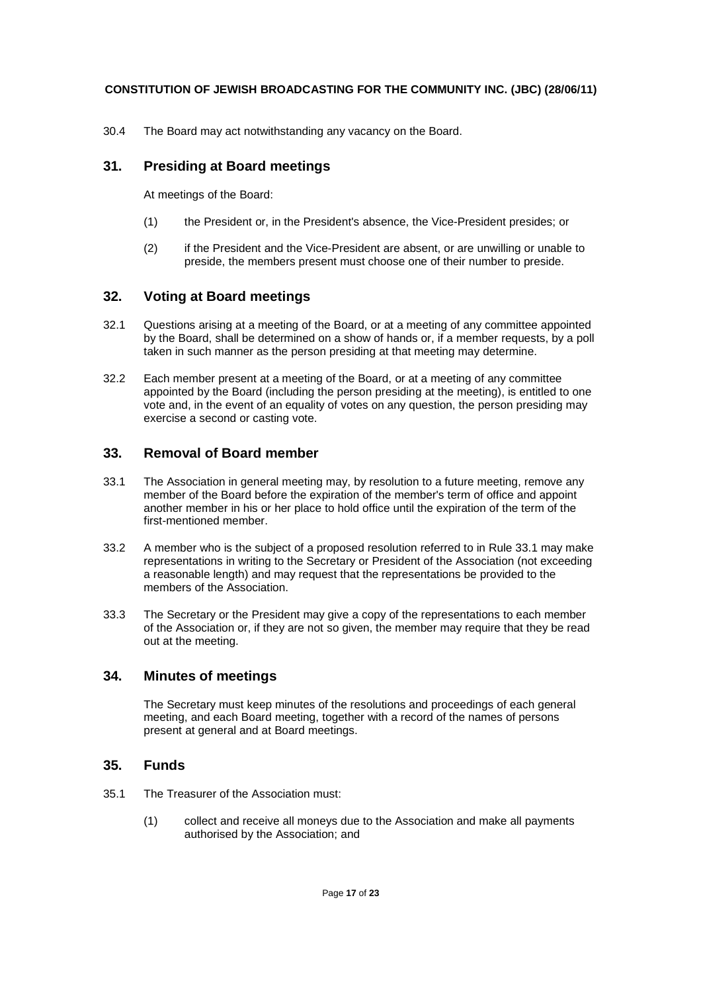30.4 The Board may act notwithstanding any vacancy on the Board.

## **31. Presiding at Board meetings**

At meetings of the Board:

- (1) the President or, in the President's absence, the Vice-President presides; or
- (2) if the President and the Vice-President are absent, or are unwilling or unable to preside, the members present must choose one of their number to preside.

## **32. Voting at Board meetings**

- 32.1 Questions arising at a meeting of the Board, or at a meeting of any committee appointed by the Board, shall be determined on a show of hands or, if a member requests, by a poll taken in such manner as the person presiding at that meeting may determine.
- 32.2 Each member present at a meeting of the Board, or at a meeting of any committee appointed by the Board (including the person presiding at the meeting), is entitled to one vote and, in the event of an equality of votes on any question, the person presiding may exercise a second or casting vote.

## **33. Removal of Board member**

- 33.1 The Association in general meeting may, by resolution to a future meeting, remove any member of the Board before the expiration of the member's term of office and appoint another member in his or her place to hold office until the expiration of the term of the first-mentioned member.
- 33.2 A member who is the subject of a proposed resolution referred to in Rule 33.1 may make representations in writing to the Secretary or President of the Association (not exceeding a reasonable length) and may request that the representations be provided to the members of the Association.
- 33.3 The Secretary or the President may give a copy of the representations to each member of the Association or, if they are not so given, the member may require that they be read out at the meeting.

## **34. Minutes of meetings**

The Secretary must keep minutes of the resolutions and proceedings of each general meeting, and each Board meeting, together with a record of the names of persons present at general and at Board meetings.

## **35. Funds**

- 35.1 The Treasurer of the Association must:
	- (1) collect and receive all moneys due to the Association and make all payments authorised by the Association; and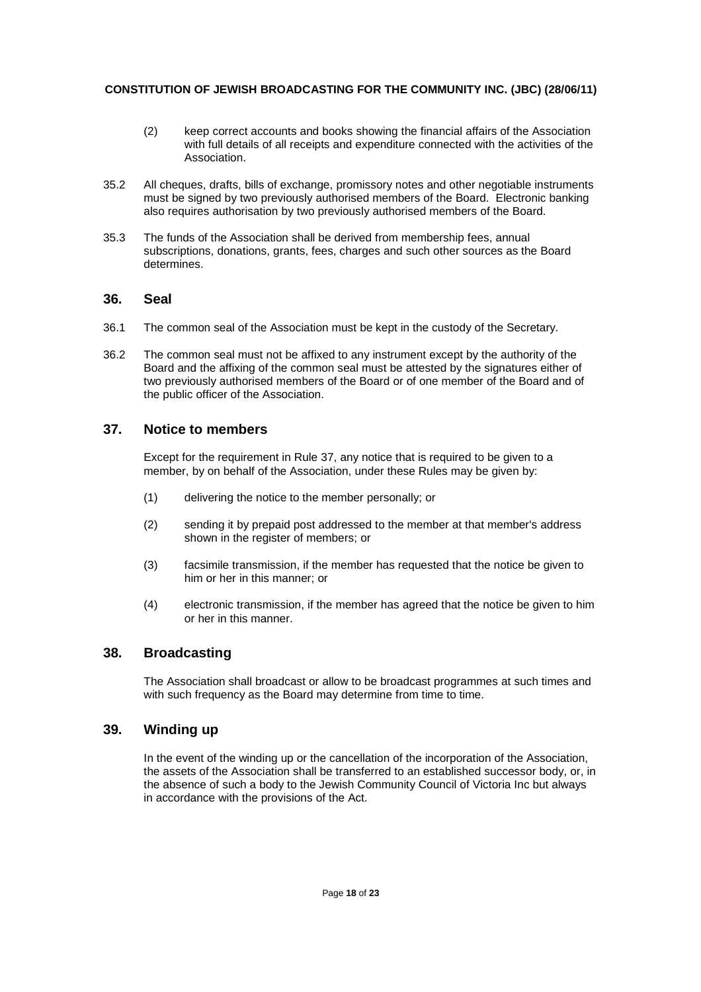- (2) keep correct accounts and books showing the financial affairs of the Association with full details of all receipts and expenditure connected with the activities of the Association.
- 35.2 All cheques, drafts, bills of exchange, promissory notes and other negotiable instruments must be signed by two previously authorised members of the Board. Electronic banking also requires authorisation by two previously authorised members of the Board.
- 35.3 The funds of the Association shall be derived from membership fees, annual subscriptions, donations, grants, fees, charges and such other sources as the Board determines.

## **36. Seal**

- 36.1 The common seal of the Association must be kept in the custody of the Secretary.
- 36.2 The common seal must not be affixed to any instrument except by the authority of the Board and the affixing of the common seal must be attested by the signatures either of two previously authorised members of the Board or of one member of the Board and of the public officer of the Association.

## **37. Notice to members**

Except for the requirement in Rule 37, any notice that is required to be given to a member, by on behalf of the Association, under these Rules may be given by:

- (1) delivering the notice to the member personally; or
- (2) sending it by prepaid post addressed to the member at that member's address shown in the register of members; or
- (3) facsimile transmission, if the member has requested that the notice be given to him or her in this manner; or
- (4) electronic transmission, if the member has agreed that the notice be given to him or her in this manner.

## **38. Broadcasting**

The Association shall broadcast or allow to be broadcast programmes at such times and with such frequency as the Board may determine from time to time.

## **39. Winding up**

In the event of the winding up or the cancellation of the incorporation of the Association, the assets of the Association shall be transferred to an established successor body, or, in the absence of such a body to the Jewish Community Council of Victoria Inc but always in accordance with the provisions of the Act.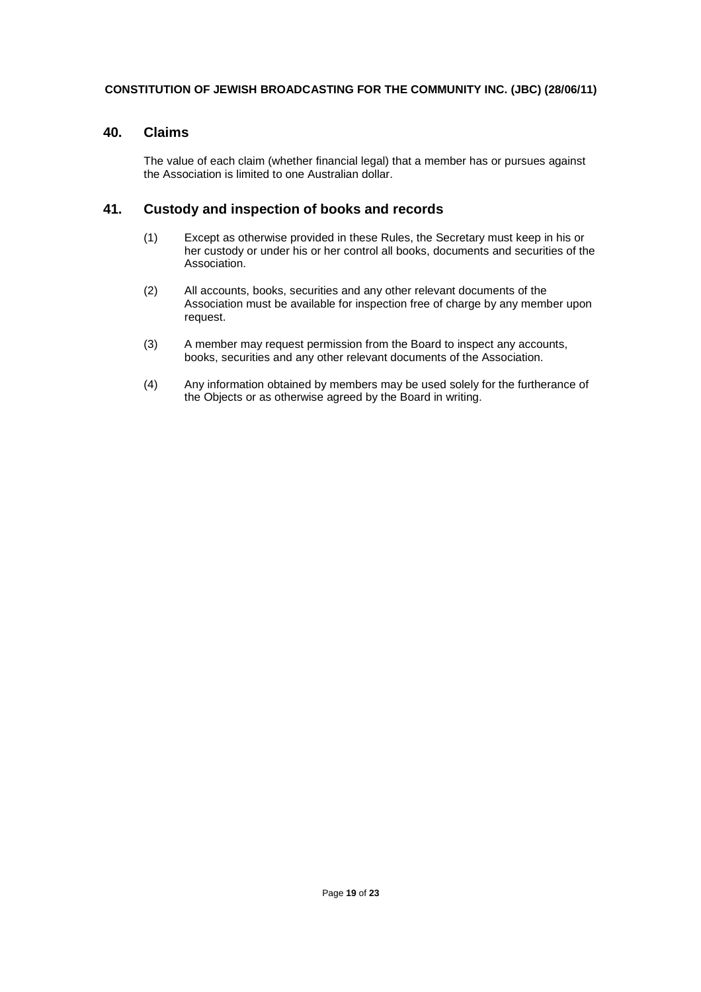## **40. Claims**

The value of each claim (whether financial legal) that a member has or pursues against the Association is limited to one Australian dollar.

## **41. Custody and inspection of books and records**

- (1) Except as otherwise provided in these Rules, the Secretary must keep in his or her custody or under his or her control all books, documents and securities of the Association.
- (2) All accounts, books, securities and any other relevant documents of the Association must be available for inspection free of charge by any member upon request.
- (3) A member may request permission from the Board to inspect any accounts, books, securities and any other relevant documents of the Association.
- (4) Any information obtained by members may be used solely for the furtherance of the Objects or as otherwise agreed by the Board in writing.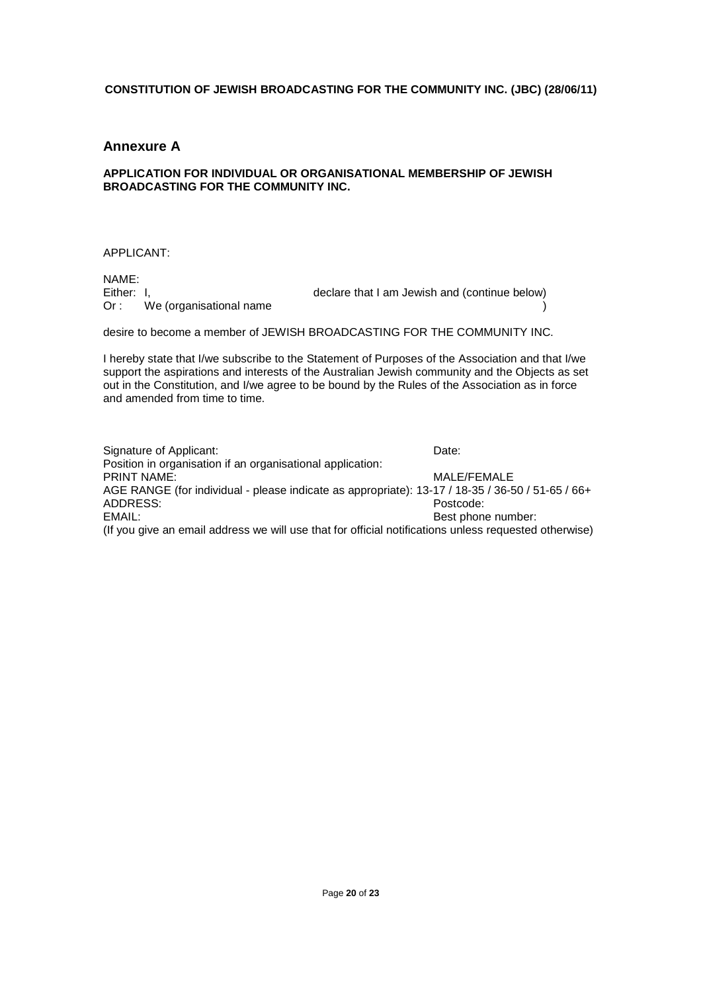### **Annexure A**

#### **APPLICATION FOR INDIVIDUAL OR ORGANISATIONAL MEMBERSHIP OF JEWISH BROADCASTING FOR THE COMMUNITY INC.**

#### APPLICANT:

NAME:<br>Either: I, Either: I,<br>Or: We (organisational name declare that I am Jewish and (continue below) We (organisational name

desire to become a member of JEWISH BROADCASTING FOR THE COMMUNITY INC.

I hereby state that I/we subscribe to the Statement of Purposes of the Association and that I/we support the aspirations and interests of the Australian Jewish community and the Objects as set out in the Constitution, and I/we agree to be bound by the Rules of the Association as in force and amended from time to time.

Signature of Applicant: Date: Date: Position in organisation if an organisational application: PRINT NAME: WE GET A RESIDENCE TO A RESIDENCE A RESIDENCE OF A RESIDENCE OF A RESIDENCE OF A RESIDENCE OF A RESIDENCE OF A RESIDENCE OF A RESIDENCE OF A RESIDENCE OF A RESIDENCE OF A RESIDENCE OF A RESIDENCE OF A RESIDENCE AGE RANGE (for individual - please indicate as appropriate): 13-17 / 18-35 / 36-50 / 51-65 / 66+ ADDRESS: Postcode: EMAIL: **BEST phone number: BEST phone number: BEST phone number: BEST phone number:** (If you give an email address we will use that for official notifications unless requested otherwise)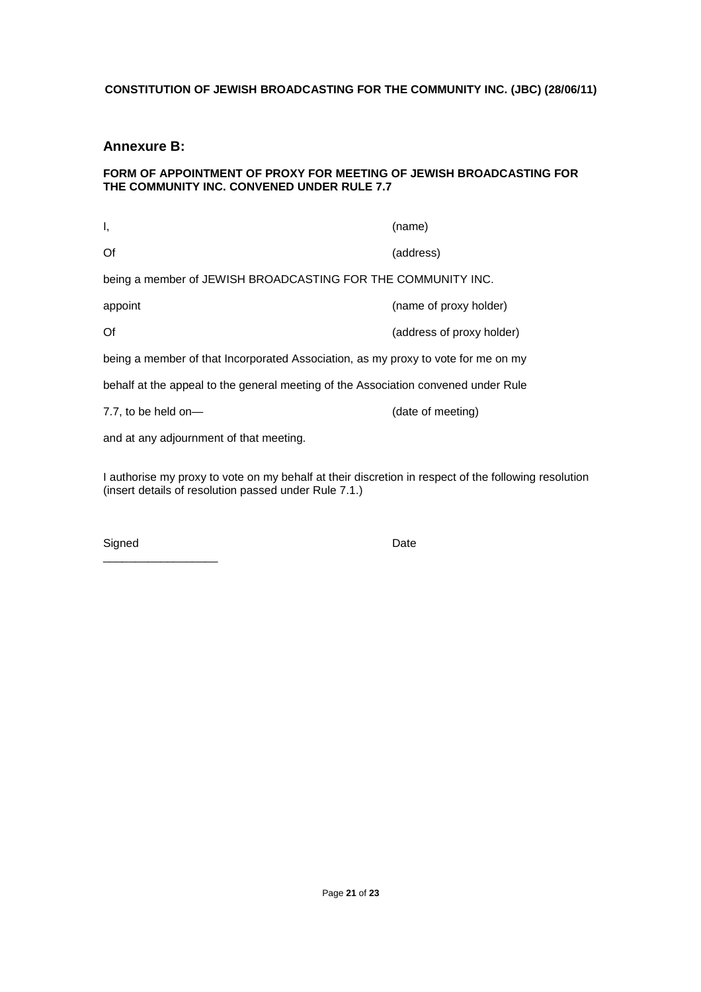## **Annexure B:**

#### **FORM OF APPOINTMENT OF PROXY FOR MEETING OF JEWISH BROADCASTING FOR THE COMMUNITY INC. CONVENED UNDER RULE 7.7**

| Ι,                                                                                 | (name)                    |  |
|------------------------------------------------------------------------------------|---------------------------|--|
| Of                                                                                 | (address)                 |  |
| being a member of JEWISH BROADCASTING FOR THE COMMUNITY INC.                       |                           |  |
| appoint                                                                            | (name of proxy holder)    |  |
| Of                                                                                 | (address of proxy holder) |  |
| being a member of that Incorporated Association, as my proxy to vote for me on my  |                           |  |
| behalf at the appeal to the general meeting of the Association convened under Rule |                           |  |
| 7.7, to be held on-                                                                | (date of meeting)         |  |
| and at any adjournment of that meeting.                                            |                           |  |

I authorise my proxy to vote on my behalf at their discretion in respect of the following resolution (insert details of resolution passed under Rule 7.1.)

| Signed | Date |
|--------|------|
|        |      |

\_\_\_\_\_\_\_\_\_\_\_\_\_\_\_\_\_\_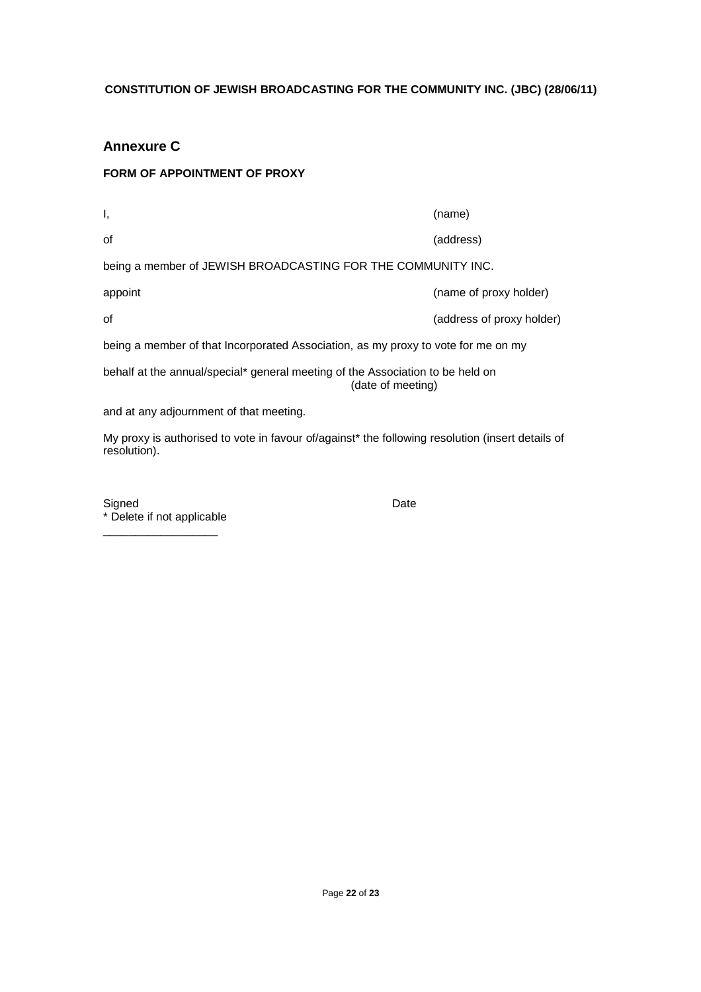# **Annexure C**

## **FORM OF APPOINTMENT OF PROXY**

| Ι,                                                                                                  | (name)                    |  |
|-----------------------------------------------------------------------------------------------------|---------------------------|--|
| 0f                                                                                                  | (address)                 |  |
| being a member of JEWISH BROADCASTING FOR THE COMMUNITY INC.                                        |                           |  |
| appoint                                                                                             | (name of proxy holder)    |  |
| οf                                                                                                  | (address of proxy holder) |  |
| being a member of that Incorporated Association, as my proxy to vote for me on my                   |                           |  |
| behalf at the annual/special* general meeting of the Association to be held on<br>(date of meeting) |                           |  |
| and at any adjournment of that meeting.                                                             |                           |  |
| My proxy is authorised to vote in favour of/against* the following resolution (insert details of    |                           |  |

Signed **Date** \* Delete if not applicable

\_\_\_\_\_\_\_\_\_\_\_\_\_\_\_\_\_\_

resolution).